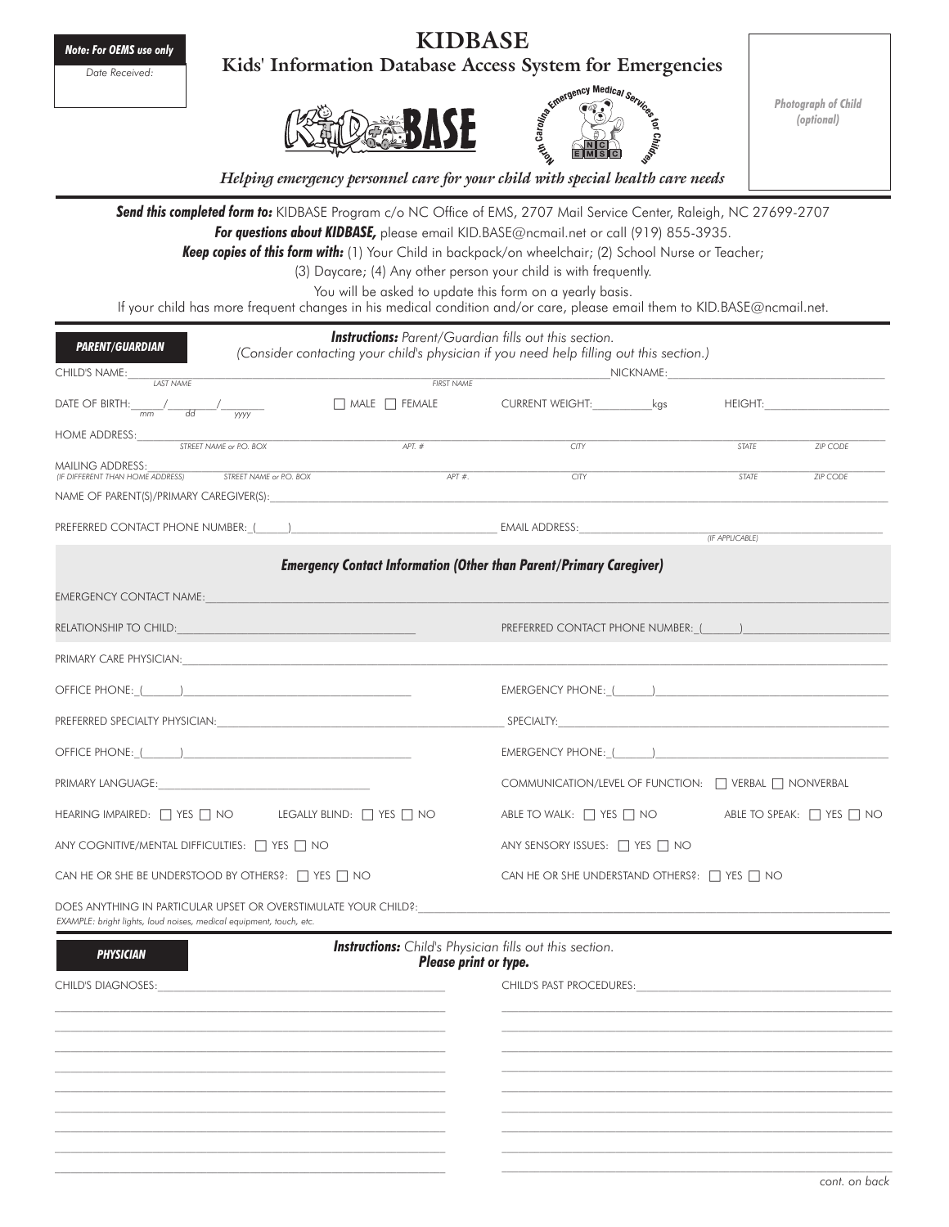*Note: For OEMS use only Date Received:*

**Kids' Information Database Access S** 





*Photograph of Child (optional)*

*Helping emergency personnel care for your child with special health care needs*

*Send this completed form to:* KIDBASE Program c/o NC Office of EMS, 2707 Mail Service Center, Raleigh, NC 27699-2707 *For questions about KIDBASE,* please email KID.BASE@ncmail.net or call (919) 855-3935.

*Keep copies of this form with:* (1) Your Child in backpack/on wheelchair; (2) School Nurse or Teacher;

(3) Daycare; (4) Any other person your child is with frequently.

You will be asked to update this form on a yearly basis.

If your child has more frequent changes in his medical condition and/or care, please email them to KID.BASE@ncmail.net.

| <b>Instructions:</b> Parent/Guardian fills out this section.<br><b>PARENT/GUARDIAN</b><br>(Consider contacting your child's physician if you need help filling out this section.)                                              |            |          |                       |                                                                                                                                                                                                                                                                                                                                                                                  |  |              |                             |  |  |
|--------------------------------------------------------------------------------------------------------------------------------------------------------------------------------------------------------------------------------|------------|----------|-----------------------|----------------------------------------------------------------------------------------------------------------------------------------------------------------------------------------------------------------------------------------------------------------------------------------------------------------------------------------------------------------------------------|--|--------------|-----------------------------|--|--|
| CHILD'S NAME:                                                                                                                                                                                                                  | FIRST NAME |          |                       |                                                                                                                                                                                                                                                                                                                                                                                  |  |              |                             |  |  |
| DATE OF BIRTH: $\frac{1}{mm}$ dd $\frac{1}{\frac{1}{\frac{1}{\frac{1}{\sqrt{N}}}}$                                                                                                                                             |            |          |                       |                                                                                                                                                                                                                                                                                                                                                                                  |  |              | HEIGHT: <b>Example 2014</b> |  |  |
| HOME ADDRESS: STREET NAME or P.O. BOX                                                                                                                                                                                          |            | $APT.$ # |                       | CITY                                                                                                                                                                                                                                                                                                                                                                             |  | <b>STATE</b> | ZIP CODE                    |  |  |
| MAILING ADDRESS:<br>(IF DIFFERENT THAN HOME ADDRESS) STREET NAME or P.O. BOX                                                                                                                                                   |            |          | $APT$ #.              | CITY                                                                                                                                                                                                                                                                                                                                                                             |  | <b>STATE</b> | <b>ZIP CODE</b>             |  |  |
| NAME OF PARENT(S)/PRIMARY CAREGIVER(S):                                                                                                                                                                                        |            |          |                       |                                                                                                                                                                                                                                                                                                                                                                                  |  |              |                             |  |  |
|                                                                                                                                                                                                                                |            |          |                       |                                                                                                                                                                                                                                                                                                                                                                                  |  |              |                             |  |  |
|                                                                                                                                                                                                                                |            |          |                       | <b>Emergency Contact Information (Other than Parent/Primary Caregiver)</b>                                                                                                                                                                                                                                                                                                       |  |              |                             |  |  |
| <b>EMERGENCY CONTACT NAME:</b>                                                                                                                                                                                                 |            |          |                       |                                                                                                                                                                                                                                                                                                                                                                                  |  |              |                             |  |  |
|                                                                                                                                                                                                                                |            |          |                       | PREFERRED CONTACT PHONE NUMBER: ( )                                                                                                                                                                                                                                                                                                                                              |  |              |                             |  |  |
|                                                                                                                                                                                                                                |            |          |                       |                                                                                                                                                                                                                                                                                                                                                                                  |  |              |                             |  |  |
|                                                                                                                                                                                                                                |            |          |                       | $\textsf{EMERGENCY PHONE:}\begin{picture}(20,10) \put(0,0){\vector(1,0){100}} \put(0,0){\vector(1,0){100}} \put(0,0){\vector(1,0){100}} \put(0,0){\vector(1,0){100}} \put(0,0){\vector(1,0){100}} \put(0,0){\vector(1,0){100}} \put(0,0){\vector(1,0){100}} \put(0,0){\vector(1,0){100}} \put(0,0){\vector(1,0){100}} \put(0,0){\vector(1,0){100}} \put(0,0){\vector(1,0){100}}$ |  |              |                             |  |  |
|                                                                                                                                                                                                                                |            |          |                       |                                                                                                                                                                                                                                                                                                                                                                                  |  |              |                             |  |  |
|                                                                                                                                                                                                                                |            |          |                       |                                                                                                                                                                                                                                                                                                                                                                                  |  |              |                             |  |  |
|                                                                                                                                                                                                                                |            |          |                       | COMMUNICATION/LEVEL OF FUNCTION: □ VERBAL □ NONVERBAL                                                                                                                                                                                                                                                                                                                            |  |              |                             |  |  |
| HEARING IMPAIRED: THES THO LEGALLY BLIND: THES THE NO                                                                                                                                                                          |            |          |                       | ABLE TO WALK: $\Box$ YES $\Box$ NO ABLE TO SPEAK: $\Box$ YES $\Box$ NO                                                                                                                                                                                                                                                                                                           |  |              |                             |  |  |
| ANY COGNITIVE/MENTAL DIFFICULTIES: 7 YES 7 NO                                                                                                                                                                                  |            |          |                       | ANY SENSORY ISSUES: 7 YES 7 NO                                                                                                                                                                                                                                                                                                                                                   |  |              |                             |  |  |
| CAN HE OR SHE BE UNDERSTOOD BY OTHERS?: $\Box$ YES $\Box$ NO                                                                                                                                                                   |            |          |                       | CAN HE OR SHE UNDERSTAND OTHERS?: $\Box$ YES $\Box$ NO                                                                                                                                                                                                                                                                                                                           |  |              |                             |  |  |
| does anything in particular upset or overstimulate your child?:<br>EXAMPLE: bright lights, loud noises, medical equipment, touch, etc.                                                                                         |            |          |                       |                                                                                                                                                                                                                                                                                                                                                                                  |  |              |                             |  |  |
| <b>PHYSICIAN</b>                                                                                                                                                                                                               |            |          | Please print or type. | <b>Instructions:</b> Child's Physician fills out this section.                                                                                                                                                                                                                                                                                                                   |  |              |                             |  |  |
| CHILD'S DIAGNOSES: Experience of the state of the state of the state of the state of the state of the state of the state of the state of the state of the state of the state of the state of the state of the state of the sta |            |          |                       | CHILD'S PAST PROCEDURES:                                                                                                                                                                                                                                                                                                                                                         |  |              |                             |  |  |
|                                                                                                                                                                                                                                |            |          |                       |                                                                                                                                                                                                                                                                                                                                                                                  |  |              |                             |  |  |
|                                                                                                                                                                                                                                |            |          |                       |                                                                                                                                                                                                                                                                                                                                                                                  |  |              |                             |  |  |
|                                                                                                                                                                                                                                |            |          |                       |                                                                                                                                                                                                                                                                                                                                                                                  |  |              |                             |  |  |
|                                                                                                                                                                                                                                |            |          |                       |                                                                                                                                                                                                                                                                                                                                                                                  |  |              |                             |  |  |
|                                                                                                                                                                                                                                |            |          |                       |                                                                                                                                                                                                                                                                                                                                                                                  |  |              |                             |  |  |
|                                                                                                                                                                                                                                |            |          |                       |                                                                                                                                                                                                                                                                                                                                                                                  |  |              | cont. on back               |  |  |